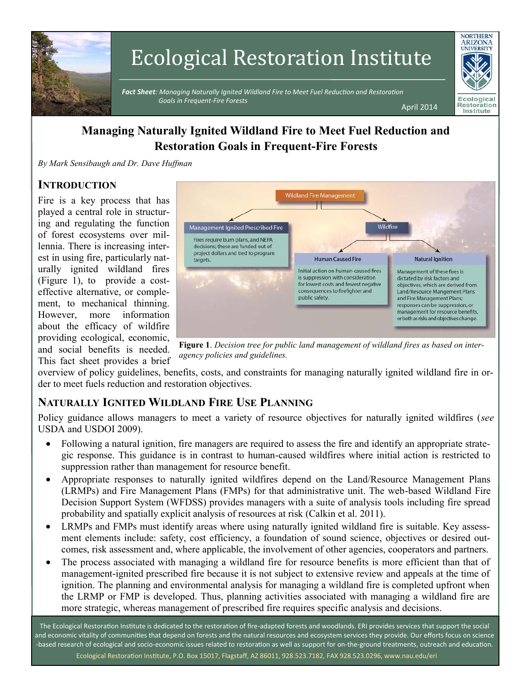

# Ecological Restoration Institute

 *Fact Sheet: Managing Naturally Ignited Wildland Fire to Meet Fuel Reduction and Restoration Goals in Frequent-Fire Forests*  April 2014



# **Managing Naturally Ignited Wildland Fire to Meet Fuel Reduction and Restoration Goals in Frequent-Fire Forests**

*By Mark Sensibaugh and Dr. Dave Huffman*

## **INTRODUCTION**

Fire is a key process that has played a central role in structuring and regulating the function of forest ecosystems over millennia. There is increasing interest in using fire, particularly naturally ignited wildland fires (Figure 1), to provide a costeffective alternative, or complement, to mechanical thinning. However, more information about the efficacy of wildfire providing ecological, economic, and social benefits is needed. This fact sheet provides a brief



**Figure 1**. *Decision tree for public land management of wildland fires as based on interagency policies and guidelines.* 

overview of policy guidelines, benefits, costs, and constraints for managing naturally ignited wildland fire in order to meet fuels reduction and restoration objectives.

# **NATURALLY IGNITED WILDLAND FIRE USE PLANNING**

Policy guidance allows managers to meet a variety of resource objectives for naturally ignited wildfires (*see* USDA and USDOI 2009).

- Following a natural ignition, fire managers are required to assess the fire and identify an appropriate strategic response. This guidance is in contrast to human-caused wildfires where initial action is restricted to suppression rather than management for resource benefit.
- Appropriate responses to naturally ignited wildfires depend on the Land/Resource Management Plans (LRMPs) and Fire Management Plans (FMPs) for that administrative unit. The web-based Wildland Fire Decision Support System (WFDSS) provides managers with a suite of analysis tools including fire spread probability and spatially explicit analysis of resources at risk (Calkin et al. 2011).
- LRMPs and FMPs must identify areas where using naturally ignited wildland fire is suitable. Key assessment elements include: safety, cost efficiency, a foundation of sound science, objectives or desired outcomes, risk assessment and, where applicable, the involvement of other agencies, cooperators and partners.
- The process associated with managing a wildland fire for resource benefits is more efficient than that of management-ignited prescribed fire because it is not subject to extensive review and appeals at the time of ignition. The planning and environmental analysis for managing a wildland fire is completed upfront when the LRMP or FMP is developed. Thus, planning activities associated with managing a wildland fire are more strategic, whereas management of prescribed fire requires specific analysis and decisions.

The Ecological Restoration Institute is dedicated to the restoration of fire-adapted forests and woodlands. ERI provides services that support the social and economic vitality of communities that depend on forests and the natural resources and ecosystem services they provide. Our efforts focus on science -based research of ecological and socio-economic issues related to restoration as well as support for on-the-ground treatments, outreach and education. Ecological Restoration Institute, P.O. Box 15017, Flagstaff, AZ 86011, 928.523.7182, FAX 928.523.0296, www.nau.edu/eri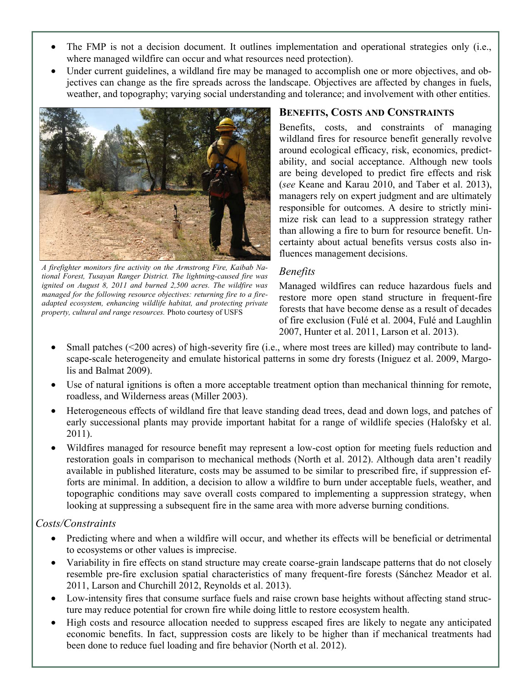- The FMP is not a decision document. It outlines implementation and operational strategies only (i.e., where managed wildfire can occur and what resources need protection).
- Under current guidelines, a wildland fire may be managed to accomplish one or more objectives, and objectives can change as the fire spreads across the landscape. Objectives are affected by changes in fuels, weather, and topography; varying social understanding and tolerance; and involvement with other entities.



*A firefighter monitors fire activity on the Armstrong Fire, Kaibab National Forest, Tusayan Ranger District. The lightning-caused fire was ignited on August 8, 2011 and burned 2,500 acres. The wildfire was managed for the following resource objectives: returning fire to a fireadapted ecosystem, enhancing wildlife habitat, and protecting private property, cultural and range resources.* Photo courtesy of USFS

## **BENEFITS, COSTS AND CONSTRAINTS**

Benefits, costs, and constraints of managing wildland fires for resource benefit generally revolve around ecological efficacy, risk, economics, predictability, and social acceptance. Although new tools are being developed to predict fire effects and risk (*see* Keane and Karau 2010, and Taber et al. 2013), managers rely on expert judgment and are ultimately responsible for outcomes. A desire to strictly minimize risk can lead to a suppression strategy rather than allowing a fire to burn for resource benefit. Uncertainty about actual benefits versus costs also influences management decisions.

#### *Benefits*

Managed wildfires can reduce hazardous fuels and restore more open stand structure in frequent-fire forests that have become dense as a result of decades of fire exclusion (Fulé et al. 2004, Fulé and Laughlin 2007, Hunter et al. 2011, Larson et al. 2013).

- Small patches (<200 acres) of high-severity fire (i.e., where most trees are killed) may contribute to landscape-scale heterogeneity and emulate historical patterns in some dry forests (Iniguez et al. 2009, Margolis and Balmat 2009).
- Use of natural ignitions is often a more acceptable treatment option than mechanical thinning for remote, roadless, and Wilderness areas (Miller 2003).
- Heterogeneous effects of wildland fire that leave standing dead trees, dead and down logs, and patches of early successional plants may provide important habitat for a range of wildlife species (Halofsky et al. 2011).
- Wildfires managed for resource benefit may represent a low-cost option for meeting fuels reduction and restoration goals in comparison to mechanical methods (North et al. 2012). Although data aren't readily available in published literature, costs may be assumed to be similar to prescribed fire, if suppression efforts are minimal. In addition, a decision to allow a wildfire to burn under acceptable fuels, weather, and topographic conditions may save overall costs compared to implementing a suppression strategy, when looking at suppressing a subsequent fire in the same area with more adverse burning conditions.

## *Costs/Constraints*

- Predicting where and when a wildfire will occur, and whether its effects will be beneficial or detrimental to ecosystems or other values is imprecise.
- Variability in fire effects on stand structure may create coarse-grain landscape patterns that do not closely resemble pre-fire exclusion spatial characteristics of many frequent-fire forests (Sánchez Meador et al. 2011, Larson and Churchill 2012, Reynolds et al. 2013).
- Low-intensity fires that consume surface fuels and raise crown base heights without affecting stand structure may reduce potential for crown fire while doing little to restore ecosystem health.
- High costs and resource allocation needed to suppress escaped fires are likely to negate any anticipated economic benefits. In fact, suppression costs are likely to be higher than if mechanical treatments had been done to reduce fuel loading and fire behavior (North et al. 2012).